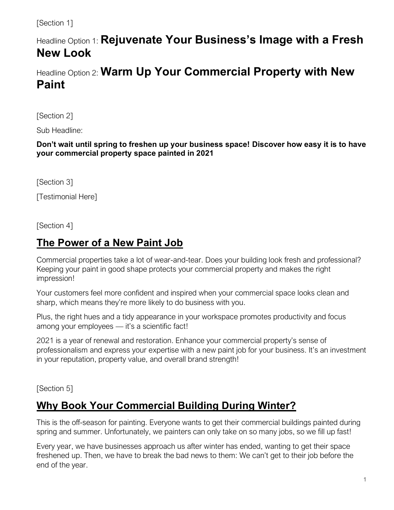#### [Section 1]

# Headline Option 1: **Rejuvenate Your Business's Image with a Fresh New Look**

Headline Option 2: **Warm Up Your Commercial Property with New Paint**

[Section 2]

Sub Headline:

**Don't wait until spring to freshen up your business space! Discover how easy it is to have your commercial property space painted in 2021**

[Section 3]

[Testimonial Here]

[Section 4]

#### **The Power of a New Paint Job**

Commercial properties take a lot of wear-and-tear. Does your building look fresh and professional? Keeping your paint in good shape protects your commercial property and makes the right impression!

Your customers feel more confident and inspired when your commercial space looks clean and sharp, which means they're more likely to do business with you.

Plus, the right hues and a tidy appearance in your workspace promotes productivity and focus among your employees — it's a scientific fact!

2021 is a year of renewal and restoration. Enhance your commercial property's sense of professionalism and express your expertise with a new paint job for your business. It's an investment in your reputation, property value, and overall brand strength!

[Section 5]

### **Why Book Your Commercial Building During Winter?**

This is the off-season for painting. Everyone wants to get their commercial buildings painted during spring and summer. Unfortunately, we painters can only take on so many jobs, so we fill up fast!

Every year, we have businesses approach us after winter has ended, wanting to get their space freshened up. Then, we have to break the bad news to them: We can't get to their job before the end of the year.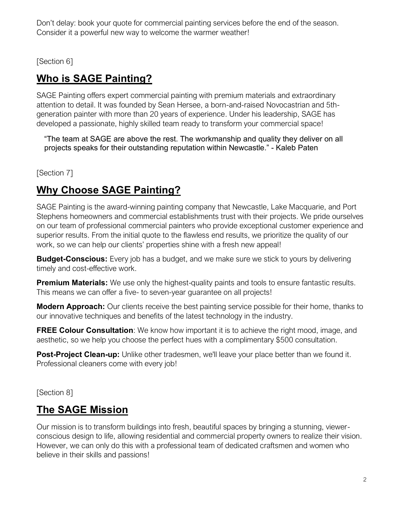Don't delay: book your quote for commercial painting services before the end of the season. Consider it a powerful new way to welcome the warmer weather!

[Section 6]

## **Who is SAGE Painting?**

SAGE Painting offers expert commercial painting with premium materials and extraordinary attention to detail. It was founded by Sean Hersee, a born-and-raised Novocastrian and 5thgeneration painter with more than 20 years of experience. Under his leadership, SAGE has developed a passionate, highly skilled team ready to transform your commercial space!

"The team at SAGE are above the rest. The workmanship and quality they deliver on all projects speaks for their outstanding reputation within Newcastle." - Kaleb Paten

[Section 7]

## **Why Choose SAGE Painting?**

SAGE Painting is the award-winning painting company that Newcastle, Lake Macquarie, and Port Stephens homeowners and commercial establishments trust with their projects. We pride ourselves on our team of professional commercial painters who provide exceptional customer experience and superior results. From the initial quote to the flawless end results, we prioritize the quality of our work, so we can help our clients' properties shine with a fresh new appeal!

**Budget-Conscious:** Every job has a budget, and we make sure we stick to yours by delivering timely and cost-effective work.

**Premium Materials:** We use only the highest-quality paints and tools to ensure fantastic results. This means we can offer a five- to seven-year guarantee on all projects!

**Modern Approach:** Our clients receive the best painting service possible for their home, thanks to our innovative techniques and benefits of the latest technology in the industry.

**FREE Colour Consultation**: We know how important it is to achieve the right mood, image, and aesthetic, so we help you choose the perfect hues with a complimentary \$500 consultation.

**Post-Project Clean-up:** Unlike other tradesmen, we'll leave your place better than we found it. Professional cleaners come with every job!

[Section 8]

### **The SAGE Mission**

Our mission is to transform buildings into fresh, beautiful spaces by bringing a stunning, viewerconscious design to life, allowing residential and commercial property owners to realize their vision. However, we can only do this with a professional team of dedicated craftsmen and women who believe in their skills and passions!